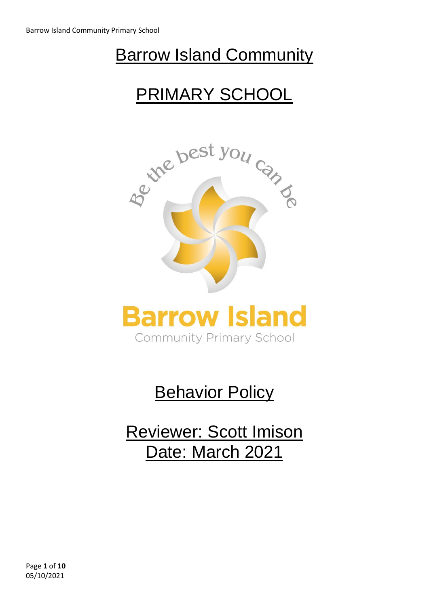## **Barrow Island Community**

# PRIMARY SCHOOL





# **Behavior Policy**

Reviewer: Scott Imison Date: March 2021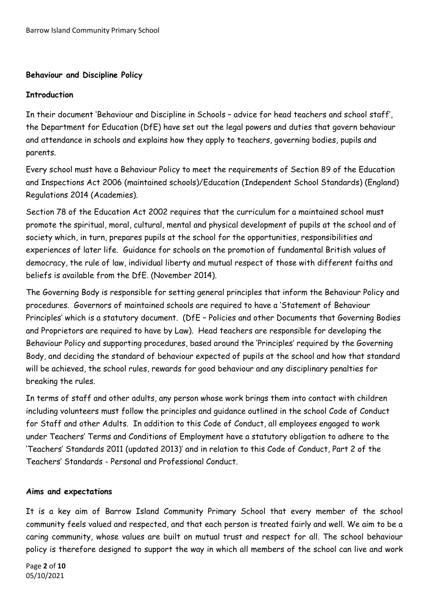## **Behaviour and Discipline Policy**

#### **Introduction**

In their document 'Behaviour and Discipline in Schools – advice for head teachers and school staff', the Department for Education (DfE) have set out the legal powers and duties that govern behaviour and attendance in schools and explains how they apply to teachers, governing bodies, pupils and parents.

Every school must have a Behaviour Policy to meet the requirements of Section 89 of the Education and Inspections Act 2006 (maintained schools)/Education (Independent School Standards) (England) Regulations 2014 (Academies).

Section 78 of the Education Act 2002 requires that the curriculum for a maintained school must promote the spiritual, moral, cultural, mental and physical development of pupils at the school and of society which, in turn, prepares pupils at the school for the opportunities, responsibilities and experiences of later life. Guidance for schools on the promotion of fundamental British values of democracy, the rule of law, individual liberty and mutual respect of those with different faiths and beliefs is available from the DfE. (November 2014).

The Governing Body is responsible for setting general principles that inform the Behaviour Policy and procedures. Governors of maintained schools are required to have a 'Statement of Behaviour Principles' which is a statutory document. (DfE – Policies and other Documents that Governing Bodies and Proprietors are required to have by Law). Head teachers are responsible for developing the Behaviour Policy and supporting procedures, based around the 'Principles' required by the Governing Body, and deciding the standard of behaviour expected of pupils at the school and how that standard will be achieved, the school rules, rewards for good behaviour and any disciplinary penalties for breaking the rules.

In terms of staff and other adults, any person whose work brings them into contact with children including volunteers must follow the principles and guidance outlined in the school Code of Conduct for Staff and other Adults. In addition to this Code of Conduct, all employees engaged to work under Teachers' Terms and Conditions of Employment have a statutory obligation to adhere to the 'Teachers' Standards 2011 (updated 2013)' and in relation to this Code of Conduct, Part 2 of the Teachers' Standards - Personal and Professional Conduct.

## **Aims and expectations**

It is a key aim of Barrow Island Community Primary School that every member of the school community feels valued and respected, and that each person is treated fairly and well. We aim to be a caring community, whose values are built on mutual trust and respect for all. The school behaviour policy is therefore designed to support the way in which all members of the school can live and work

Page **2** of **10** 05/10/2021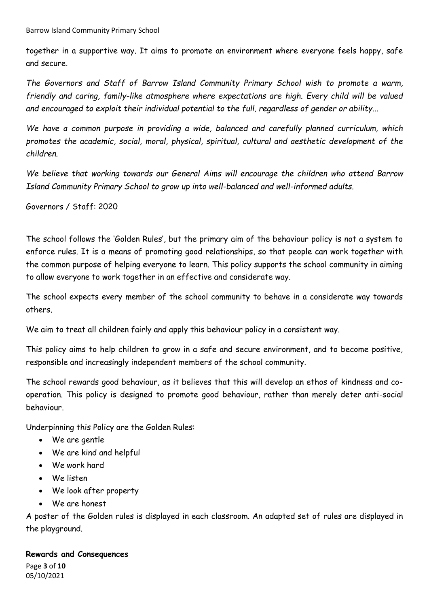together in a supportive way. It aims to promote an environment where everyone feels happy, safe and secure.

*The Governors and Staff of Barrow Island Community Primary School wish to promote a warm, friendly and caring, family-like atmosphere where expectations are high. Every child will be valued and encouraged to exploit their individual potential to the full, regardless of gender or ability...*

*We have a common purpose in providing a wide, balanced and carefully planned curriculum, which promotes the academic, social, moral, physical, spiritual, cultural and aesthetic development of the children.*

*We believe that working towards our General Aims will encourage the children who attend Barrow Island Community Primary School to grow up into well-balanced and well-informed adults.*

Governors / Staff: 2020

The school follows the 'Golden Rules', but the primary aim of the behaviour policy is not a system to enforce rules. It is a means of promoting good relationships, so that people can work together with the common purpose of helping everyone to learn. This policy supports the school community in aiming to allow everyone to work together in an effective and considerate way.

The school expects every member of the school community to behave in a considerate way towards others.

We aim to treat all children fairly and apply this behaviour policy in a consistent way.

This policy aims to help children to grow in a safe and secure environment, and to become positive, responsible and increasingly independent members of the school community.

The school rewards good behaviour, as it believes that this will develop an ethos of kindness and cooperation. This policy is designed to promote good behaviour, rather than merely deter anti-social behaviour.

Underpinning this Policy are the Golden Rules:

- We are gentle
- We are kind and helpful
- We work hard
- We listen
- We look after property
- We are honest

A poster of the Golden rules is displayed in each classroom. An adapted set of rules are displayed in the playground.

## **Rewards and Consequences**

Page **3** of **10** 05/10/2021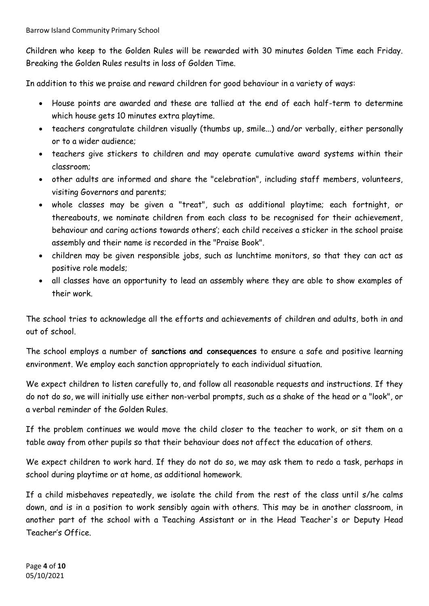Children who keep to the Golden Rules will be rewarded with 30 minutes Golden Time each Friday. Breaking the Golden Rules results in loss of Golden Time.

In addition to this we praise and reward children for good behaviour in a variety of ways:

- House points are awarded and these are tallied at the end of each half-term to determine which house gets 10 minutes extra playtime.
- teachers congratulate children visually (thumbs up, smile...) and/or verbally, either personally or to a wider audience;
- teachers give stickers to children and may operate cumulative award systems within their classroom;
- other adults are informed and share the "celebration", including staff members, volunteers, visiting Governors and parents;
- whole classes may be given a "treat", such as additional playtime; each fortnight, or thereabouts, we nominate children from each class to be recognised for their achievement, behaviour and caring actions towards others'; each child receives a sticker in the school praise assembly and their name is recorded in the "Praise Book".
- children may be given responsible jobs, such as lunchtime monitors, so that they can act as positive role models;
- all classes have an opportunity to lead an assembly where they are able to show examples of their work.

The school tries to acknowledge all the efforts and achievements of children and adults, both in and out of school.

The school employs a number of **sanctions and consequences** to ensure a safe and positive learning environment. We employ each sanction appropriately to each individual situation.

We expect children to listen carefully to, and follow all reasonable requests and instructions. If they do not do so, we will initially use either non-verbal prompts, such as a shake of the head or a "look", or a verbal reminder of the Golden Rules.

If the problem continues we would move the child closer to the teacher to work, or sit them on a table away from other pupils so that their behaviour does not affect the education of others.

We expect children to work hard. If they do not do so, we may ask them to redo a task, perhaps in school during playtime or at home, as additional homework.

If a child misbehaves repeatedly, we isolate the child from the rest of the class until s/he calms down, and is in a position to work sensibly again with others. This may be in another classroom, in another part of the school with a Teaching Assistant or in the Head Teacher's or Deputy Head Teacher's Office.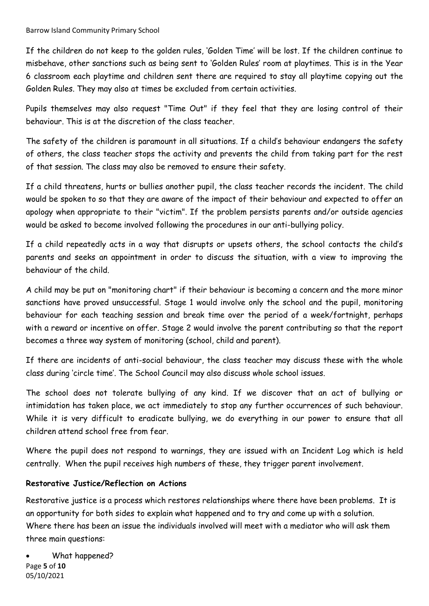If the children do not keep to the golden rules, 'Golden Time' will be lost. If the children continue to misbehave, other sanctions such as being sent to 'Golden Rules' room at playtimes. This is in the Year 6 classroom each playtime and children sent there are required to stay all playtime copying out the Golden Rules. They may also at times be excluded from certain activities.

Pupils themselves may also request "Time Out" if they feel that they are losing control of their behaviour. This is at the discretion of the class teacher.

The safety of the children is paramount in all situations. If a child's behaviour endangers the safety of others, the class teacher stops the activity and prevents the child from taking part for the rest of that session. The class may also be removed to ensure their safety.

If a child threatens, hurts or bullies another pupil, the class teacher records the incident. The child would be spoken to so that they are aware of the impact of their behaviour and expected to offer an apology when appropriate to their "victim". If the problem persists parents and/or outside agencies would be asked to become involved following the procedures in our anti-bullying policy.

If a child repeatedly acts in a way that disrupts or upsets others, the school contacts the child's parents and seeks an appointment in order to discuss the situation, with a view to improving the behaviour of the child.

A child may be put on "monitoring chart" if their behaviour is becoming a concern and the more minor sanctions have proved unsuccessful. Stage 1 would involve only the school and the pupil, monitoring behaviour for each teaching session and break time over the period of a week/fortnight, perhaps with a reward or incentive on offer. Stage 2 would involve the parent contributing so that the report becomes a three way system of monitoring (school, child and parent).

If there are incidents of anti-social behaviour, the class teacher may discuss these with the whole class during 'circle time'. The School Council may also discuss whole school issues.

The school does not tolerate bullying of any kind. If we discover that an act of bullying or intimidation has taken place, we act immediately to stop any further occurrences of such behaviour. While it is very difficult to eradicate bullying, we do everything in our power to ensure that all children attend school free from fear.

Where the pupil does not respond to warnings, they are issued with an Incident Log which is held centrally. When the pupil receives high numbers of these, they trigger parent involvement.

## **Restorative Justice/Reflection on Actions**

Restorative justice is a process which restores relationships where there have been problems. It is an opportunity for both sides to explain what happened and to try and come up with a solution. Where there has been an issue the individuals involved will meet with a mediator who will ask them three main questions:

Page **5** of **10** 05/10/2021 What happened?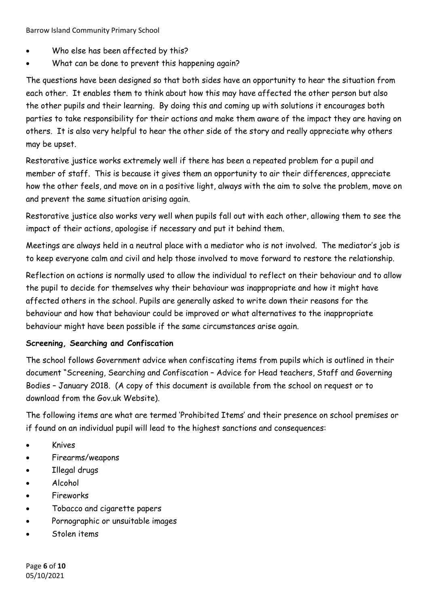- Who else has been affected by this?
- What can be done to prevent this happening again?

The questions have been designed so that both sides have an opportunity to hear the situation from each other. It enables them to think about how this may have affected the other person but also the other pupils and their learning. By doing this and coming up with solutions it encourages both parties to take responsibility for their actions and make them aware of the impact they are having on others. It is also very helpful to hear the other side of the story and really appreciate why others may be upset.

Restorative justice works extremely well if there has been a repeated problem for a pupil and member of staff. This is because it gives them an opportunity to air their differences, appreciate how the other feels, and move on in a positive light, always with the aim to solve the problem, move on and prevent the same situation arising again.

Restorative justice also works very well when pupils fall out with each other, allowing them to see the impact of their actions, apologise if necessary and put it behind them.

Meetings are always held in a neutral place with a mediator who is not involved. The mediator's job is to keep everyone calm and civil and help those involved to move forward to restore the relationship.

Reflection on actions is normally used to allow the individual to reflect on their behaviour and to allow the pupil to decide for themselves why their behaviour was inappropriate and how it might have affected others in the school. Pupils are generally asked to write down their reasons for the behaviour and how that behaviour could be improved or what alternatives to the inappropriate behaviour might have been possible if the same circumstances arise again.

## **Screening, Searching and Confiscation**

The school follows Government advice when confiscating items from pupils which is outlined in their document "Screening, Searching and Confiscation – Advice for Head teachers, Staff and Governing Bodies – January 2018. (A copy of this document is available from the school on request or to download from the Gov.uk Website).

The following items are what are termed 'Prohibited Items' and their presence on school premises or if found on an individual pupil will lead to the highest sanctions and consequences:

- Knives
- Firearms/weapons
- Illegal drugs
- Alcohol
- Fireworks
- Tobacco and cigarette papers
- Pornographic or unsuitable images
- Stolen items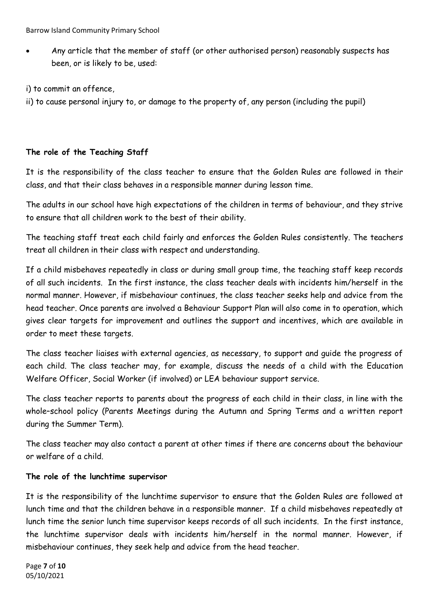Any article that the member of staff (or other authorised person) reasonably suspects has been, or is likely to be, used:

i) to commit an offence,

ii) to cause personal injury to, or damage to the property of, any person (including the pupil)

### **The role of the Teaching Staff**

It is the responsibility of the class teacher to ensure that the Golden Rules are followed in their class, and that their class behaves in a responsible manner during lesson time.

The adults in our school have high expectations of the children in terms of behaviour, and they strive to ensure that all children work to the best of their ability.

The teaching staff treat each child fairly and enforces the Golden Rules consistently. The teachers treat all children in their class with respect and understanding.

If a child misbehaves repeatedly in class or during small group time, the teaching staff keep records of all such incidents. In the first instance, the class teacher deals with incidents him/herself in the normal manner. However, if misbehaviour continues, the class teacher seeks help and advice from the head teacher. Once parents are involved a Behaviour Support Plan will also come in to operation, which gives clear targets for improvement and outlines the support and incentives, which are available in order to meet these targets.

The class teacher liaises with external agencies, as necessary, to support and guide the progress of each child. The class teacher may, for example, discuss the needs of a child with the Education Welfare Officer, Social Worker (if involved) or LEA behaviour support service.

The class teacher reports to parents about the progress of each child in their class, in line with the whole–school policy (Parents Meetings during the Autumn and Spring Terms and a written report during the Summer Term).

The class teacher may also contact a parent at other times if there are concerns about the behaviour or welfare of a child.

#### **The role of the lunchtime supervisor**

It is the responsibility of the lunchtime supervisor to ensure that the Golden Rules are followed at lunch time and that the children behave in a responsible manner. If a child misbehaves repeatedly at lunch time the senior lunch time supervisor keeps records of all such incidents. In the first instance, the lunchtime supervisor deals with incidents him/herself in the normal manner. However, if misbehaviour continues, they seek help and advice from the head teacher.

Page **7** of **10** 05/10/2021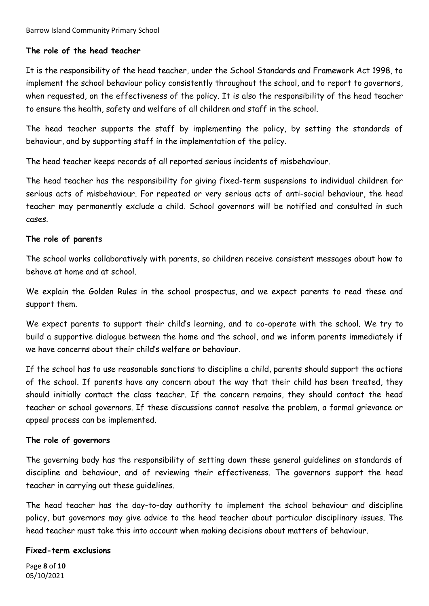### **The role of the head teacher**

It is the responsibility of the head teacher, under the School Standards and Framework Act 1998, to implement the school behaviour policy consistently throughout the school, and to report to governors, when requested, on the effectiveness of the policy. It is also the responsibility of the head teacher to ensure the health, safety and welfare of all children and staff in the school.

The head teacher supports the staff by implementing the policy, by setting the standards of behaviour, and by supporting staff in the implementation of the policy.

The head teacher keeps records of all reported serious incidents of misbehaviour.

The head teacher has the responsibility for giving fixed-term suspensions to individual children for serious acts of misbehaviour. For repeated or very serious acts of anti-social behaviour, the head teacher may permanently exclude a child. School governors will be notified and consulted in such cases.

#### **The role of parents**

The school works collaboratively with parents, so children receive consistent messages about how to behave at home and at school.

We explain the Golden Rules in the school prospectus, and we expect parents to read these and support them.

We expect parents to support their child's learning, and to co-operate with the school. We try to build a supportive dialogue between the home and the school, and we inform parents immediately if we have concerns about their child's welfare or behaviour.

If the school has to use reasonable sanctions to discipline a child, parents should support the actions of the school. If parents have any concern about the way that their child has been treated, they should initially contact the class teacher. If the concern remains, they should contact the head teacher or school governors. If these discussions cannot resolve the problem, a formal grievance or appeal process can be implemented.

#### **The role of governors**

The governing body has the responsibility of setting down these general guidelines on standards of discipline and behaviour, and of reviewing their effectiveness. The governors support the head teacher in carrying out these guidelines.

The head teacher has the day-to-day authority to implement the school behaviour and discipline policy, but governors may give advice to the head teacher about particular disciplinary issues. The head teacher must take this into account when making decisions about matters of behaviour.

#### **Fixed-term exclusions**

Page **8** of **10** 05/10/2021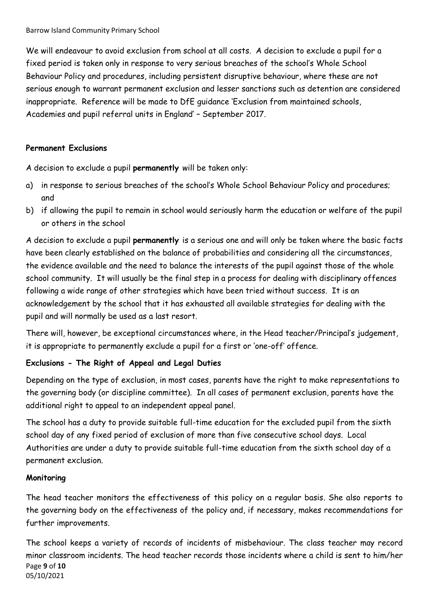We will endeavour to avoid exclusion from school at all costs. A decision to exclude a pupil for a fixed period is taken only in response to very serious breaches of the school's Whole School Behaviour Policy and procedures, including persistent disruptive behaviour, where these are not serious enough to warrant permanent exclusion and lesser sanctions such as detention are considered inappropriate. Reference will be made to DfE guidance 'Exclusion from maintained schools, Academies and pupil referral units in England' – September 2017.

## **Permanent Exclusions**

A decision to exclude a pupil **permanently** will be taken only:

- a) in response to serious breaches of the school's Whole School Behaviour Policy and procedures; and
- b) if allowing the pupil to remain in school would seriously harm the education or welfare of the pupil or others in the school

A decision to exclude a pupil **permanently** is a serious one and will only be taken where the basic facts have been clearly established on the balance of probabilities and considering all the circumstances, the evidence available and the need to balance the interests of the pupil against those of the whole school community. It will usually be the final step in a process for dealing with disciplinary offences following a wide range of other strategies which have been tried without success. It is an acknowledgement by the school that it has exhausted all available strategies for dealing with the pupil and will normally be used as a last resort.

There will, however, be exceptional circumstances where, in the Head teacher/Principal's judgement, it is appropriate to permanently exclude a pupil for a first or 'one-off' offence.

## **Exclusions - The Right of Appeal and Legal Duties**

Depending on the type of exclusion, in most cases, parents have the right to make representations to the governing body (or discipline committee). In all cases of permanent exclusion, parents have the additional right to appeal to an independent appeal panel.

The school has a duty to provide suitable full-time education for the excluded pupil from the sixth school day of any fixed period of exclusion of more than five consecutive school days. Local Authorities are under a duty to provide suitable full-time education from the sixth school day of a permanent exclusion.

## **Monitoring**

The head teacher monitors the effectiveness of this policy on a regular basis. She also reports to the governing body on the effectiveness of the policy and, if necessary, makes recommendations for further improvements.

Page **9** of **10** 05/10/2021 The school keeps a variety of records of incidents of misbehaviour. The class teacher may record minor classroom incidents. The head teacher records those incidents where a child is sent to him/her